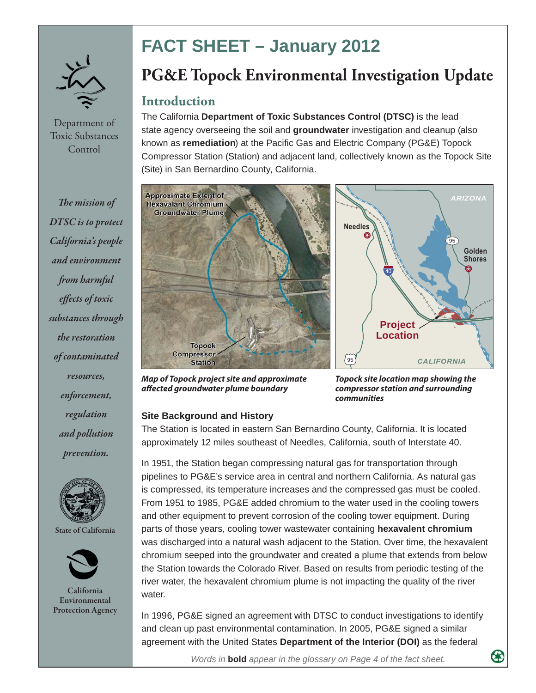

Department of Toxic Substances **Control** 

**The mission of** *DTSC is to protect California's people and environment from harmful effects of toxic substances through the restoration of contaminated resources, enforcement, regulation and pollution prevention.*





 $C_2$ lifornia **Environmental Entertion Agency Protection Agency**

# **FACT SHEET – January 2012**

## **PG&E Topock Environmental Investigation Update**

### **Introduction**

The California **Department of Toxic Substances Control (DTSC)** is the lead state agency overseeing the soil and **groundwater** investigation and cleanup (also known as **remediation**) at the Pacific Gas and Electric Company (PG&E) Topock Compressor Station (Station) and adjacent land, collectively known as the Topock Site (Site) in San Bernardino County, California.





*Map of Topock project site and approximate aff ected groundwater plume boundary*

*Topock site location map showing the compressor station and surrounding communities*

#### **Site Background and History**

The Station is located in eastern San Bernardino County, California. It is located approximately 12 miles southeast of Needles, California, south of Interstate 40.

In 1951, the Station began compressing natural gas for transportation through pipelines to PG&E's service area in central and northern California. As natural gas is compressed, its temperature increases and the compressed gas must be cooled. From 1951 to 1985, PG&E added chromium to the water used in the cooling towers and other equipment to prevent corrosion of the cooling tower equipment. During parts of those years, cooling tower wastewater containing **hexavalent chromium**  was discharged into a natural wash adjacent to the Station. Over time, the hexavalent chromium seeped into the groundwater and created a plume that extends from below the Station towards the Colorado River. Based on results from periodic testing of the river water, the hexavalent chromium plume is not impacting the quality of the river water.

In 1996, PG&E signed an agreement with DTSC to conduct investigations to identify and clean up past environmental contamination. In 2005, PG&E signed a similar agreement with the United States **Department of the Interior (DOI)** as the federal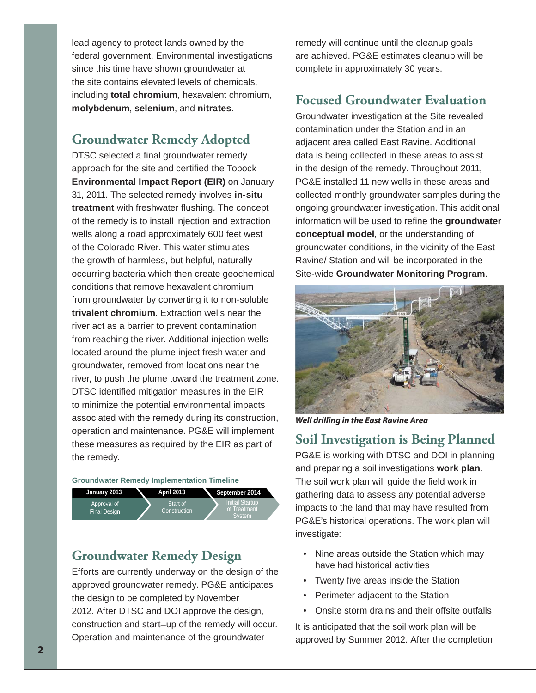lead agency to protect lands owned by the federal government. Environmental investigations since this time have shown groundwater at the site contains elevated levels of chemicals, including **total chromium**, hexavalent chromium, **molybdenum**, **selenium**, and **nitrates**.

## **Groundwater Remedy Adopted**

DTSC selected a final groundwater remedy approach for the site and certified the Topock **Environmental Impact Report (EIR)** on January 31, 2011. The selected remedy involves **in-situ treatment** with freshwater flushing. The concept of the remedy is to install injection and extraction wells along a road approximately 600 feet west of the Colorado River. This water stimulates the growth of harmless, but helpful, naturally occurring bacteria which then create geochemical conditions that remove hexavalent chromium from groundwater by converting it to non-soluble **trivalent chromium**. Extraction wells near the river act as a barrier to prevent contamination from reaching the river. Additional injection wells located around the plume inject fresh water and groundwater, removed from locations near the river, to push the plume toward the treatment zone. DTSC identified mitigation measures in the EIR to minimize the potential environmental impacts associated with the remedy during its construction, operation and maintenance. PG&E will implement these measures as required by the EIR as part of the remedy.

**Groundwater Remedy Implementation Timeline**



### **Groundwater Remedy Design**

Efforts are currently underway on the design of the approved groundwater remedy. PG&E anticipates the design to be completed by November 2012. After DTSC and DOI approve the design, construction and start–up of the remedy will occur. Operation and maintenance of the groundwater

remedy will continue until the cleanup goals are achieved. PG&E estimates cleanup will be complete in approximately 30 years.

## **Focused Groundwater Evaluation**

Groundwater investigation at the Site revealed contamination under the Station and in an adjacent area called East Ravine. Additional data is being collected in these areas to assist in the design of the remedy. Throughout 2011, PG&E installed 11 new wells in these areas and collected monthly groundwater samples during the ongoing groundwater investigation. This additional information will be used to refine the **groundwater conceptual model**, or the understanding of groundwater conditions, in the vicinity of the East Ravine/ Station and will be incorporated in the Site-wide **Groundwater Monitoring Program**.



*Well drilling in the East Ravine Area*

## **Soil Investigation is Being Planned**

PG&E is working with DTSC and DOI in planning and preparing a soil investigations **work plan**. The soil work plan will guide the field work in gathering data to assess any potential adverse impacts to the land that may have resulted from PG&E's historical operations. The work plan will investigate:

- Nine areas outside the Station which may have had historical activities
- Twenty five areas inside the Station
- Perimeter adjacent to the Station
- Onsite storm drains and their offsite outfalls

It is anticipated that the soil work plan will be approved by Summer 2012. After the completion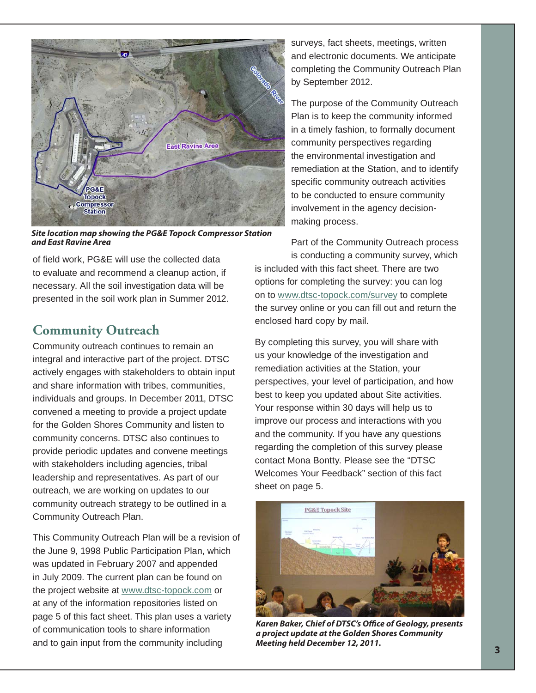

*Site location map showing the PG&E Topock Compressor Station and East Ravine Area*

of field work, PG&E will use the collected data to evaluate and recommend a cleanup action, if necessary. All the soil investigation data will be presented in the soil work plan in Summer 2012.

## **Community Outreach**

Community outreach continues to remain an integral and interactive part of the project. DTSC actively engages with stakeholders to obtain input and share information with tribes, communities, individuals and groups. In December 2011, DTSC convened a meeting to provide a project update for the Golden Shores Community and listen to community concerns. DTSC also continues to provide periodic updates and convene meetings with stakeholders including agencies, tribal leadership and representatives. As part of our outreach, we are working on updates to our community outreach strategy to be outlined in a Community Outreach Plan.

This Community Outreach Plan will be a revision of the June 9, 1998 Public Participation Plan, which was updated in February 2007 and appended in July 2009. The current plan can be found on the project website at www.dtsc-topock.com or at any of the information repositories listed on page 5 of this fact sheet. This plan uses a variety of communication tools to share information and to gain input from the community including

surveys, fact sheets, meetings, written and electronic documents. We anticipate completing the Community Outreach Plan by September 2012.

The purpose of the Community Outreach Plan is to keep the community informed in a timely fashion, to formally document community perspectives regarding the environmental investigation and remediation at the Station, and to identify specific community outreach activities to be conducted to ensure community involvement in the agency decisionmaking process.

Part of the Community Outreach process is conducting a community survey, which

is included with this fact sheet. There are two options for completing the survey: you can log on to www.dtsc-topock.com/survey to complete the survey online or you can fill out and return the enclosed hard copy by mail.

By completing this survey, you will share with us your knowledge of the investigation and remediation activities at the Station, your perspectives, your level of participation, and how best to keep you updated about Site activities. Your response within 30 days will help us to improve our process and interactions with you and the community. If you have any questions regarding the completion of this survey please contact Mona Bontty. Please see the "DTSC Welcomes Your Feedback" section of this fact sheet on page 5.



Karen Baker, Chief of DTSC's Office of Geology, presents *a project update at the Golden Shores Community Meeting held December 12, 2011.*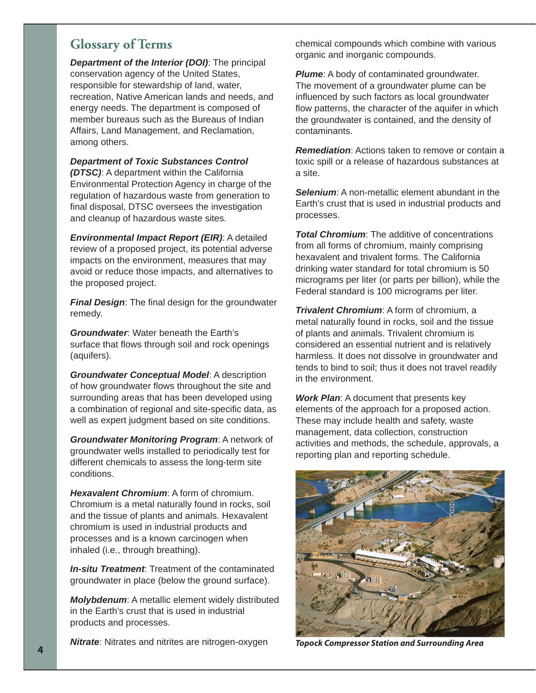## **Glossary of Terms**

*Department of the Interior (DOI)*: The principal conservation agency of the United States, responsible for stewardship of land, water, recreation, Native American lands and needs, and energy needs. The department is composed of member bureaus such as the Bureaus of Indian Affairs, Land Management, and Reclamation, among others.

*Department of Toxic Substances Control (DTSC)*: A department within the California Environmental Protection Agency in charge of the regulation of hazardous waste from generation to final disposal, DTSC oversees the investigation and cleanup of hazardous waste sites.

*Environmental Impact Report (EIR)*: A detailed review of a proposed project, its potential adverse impacts on the environment, measures that may avoid or reduce those impacts, and alternatives to the proposed project.

**Final Design:** The final design for the groundwater remedy.

*Groundwater*: Water beneath the Earth's surface that flows through soil and rock openings (aquifers).

*Groundwater Conceptual Model*: A description of how groundwater flows throughout the site and surrounding areas that has been developed using a combination of regional and site-specific data, as well as expert judgment based on site conditions.

*Groundwater Monitoring Program*: A network of groundwater wells installed to periodically test for different chemicals to assess the long-term site conditions.

*Hexavalent Chromium*: A form of chromium. Chromium is a metal naturally found in rocks, soil and the tissue of plants and animals. Hexavalent chromium is used in industrial products and processes and is a known carcinogen when inhaled (i.e., through breathing).

*In-situ Treatment*: Treatment of the contaminated groundwater in place (below the ground surface).

*Molybdenum*: A metallic element widely distributed in the Earth's crust that is used in industrial products and processes.

*Nitrate*: Nitrates and nitrites are nitrogen-oxygen

chemical compounds which combine with various organic and inorganic compounds.

**Plume:** A body of contaminated groundwater. The movement of a groundwater plume can be influenced by such factors as local groundwater flow patterns, the character of the aquifer in which the groundwater is contained, and the density of contaminants.

*Remediation*: Actions taken to remove or contain a toxic spill or a release of hazardous substances at a site.

*Selenium*: A non-metallic element abundant in the Earth's crust that is used in industrial products and processes.

**Total Chromium:** The additive of concentrations from all forms of chromium, mainly comprising hexavalent and trivalent forms. The California drinking water standard for total chromium is 50 micrograms per liter (or parts per billion), while the Federal standard is 100 micrograms per liter.

*Trivalent Chromium*: A form of chromium, a metal naturally found in rocks, soil and the tissue of plants and animals. Trivalent chromium is considered an essential nutrient and is relatively harmless. It does not dissolve in groundwater and tends to bind to soil; thus it does not travel readily in the environment.

*Work Plan*: A document that presents key elements of the approach for a proposed action. These may include health and safety, waste management, data collection, construction activities and methods, the schedule, approvals, a reporting plan and reporting schedule.



*Topock Compressor Station and Surrounding Area*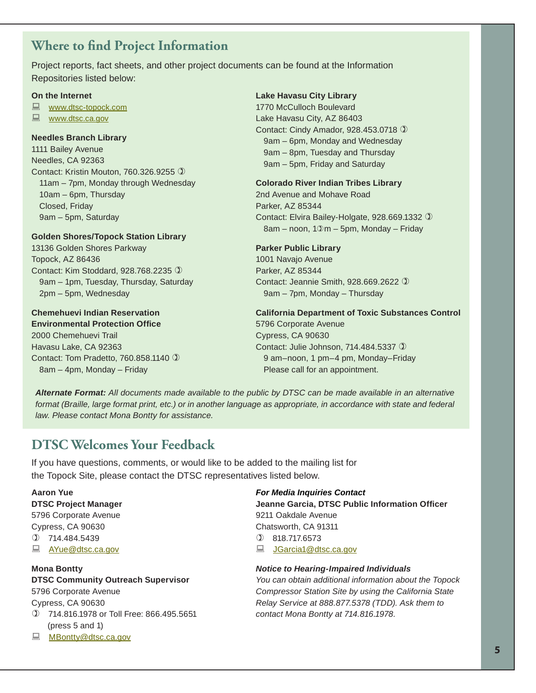## **Where to find Project Information**

Project reports, fact sheets, and other project documents can be found at the Information Repositories listed below:

#### **On the Internet**

**WWW.dtsc-topock.com** 

**E** www.dtsc.ca.gov

#### **Needles Branch Library**

1111 Bailey Avenue Needles, CA 92363 Contact: Kristin Mouton, 760.326.9255  11am – 7pm, Monday through Wednesday 10am – 6pm, Thursday Closed, Friday 9am – 5pm, Saturday

#### **Golden Shores/Topock Station Library**

13136 Golden Shores Parkway Topock, AZ 86436 Contact: Kim Stoddard, 928.768.2235  9am – 1pm, Tuesday, Thursday, Saturday 2pm – 5pm, Wednesday

#### **Chemehuevi Indian Reservation Environmental Protection Office**

2000 Chemehuevi Trail Havasu Lake, CA 92363 Contact: Tom Pradetto, 760.858.1140  8am – 4pm, Monday – Friday

#### **Lake Havasu City Library**

1770 McCulloch Boulevard Lake Havasu City, AZ 86403 Contact: Cindy Amador, 928.453.0718  9am – 6pm, Monday and Wednesday 9am – 8pm, Tuesday and Thursday 9am – 5pm, Friday and Saturday

#### **Colorado River Indian Tribes Library**

2nd Avenue and Mohave Road Parker, AZ 85344 Contact: Elvira Bailey-Holgate, 928.669.1332   $8am -$  noon,  $10m - 5pm$ , Monday – Friday

#### **Parker Public Library**

1001 Navajo Avenue Parker, AZ 85344 Contact: Jeannie Smith, 928.669.2622  9am – 7pm, Monday – Thursday

**California Department of Toxic Substances Control** 5796 Corporate Avenue Cypress, CA 90630 Contact: Julie Johnson, 714.484.5337 ① 9 am–noon, 1 pm–4 pm, Monday–Friday Please call for an appointment.

*Alternate Format: All documents made available to the public by DTSC can be made available in an alternative format (Braille, large format print, etc.) or in another language as appropriate, in accordance with state and federal law. Please contact Mona Bontty for assistance.*

## **DTSC Welcomes Your Feedback**

If you have questions, comments, or would like to be added to the mailing list for the Topock Site, please contact the DTSC representatives listed below.

#### **Aaron Yue DTSC Project Manager** 5796 Corporate Avenue Cypress, CA 90630  $(D)$  714.484.5439 **■ AYue@dtsc.ca.gov**

#### **Mona Bontty**

#### **DTSC Community Outreach Supervisor** 5796 Corporate Avenue

Cypress, CA 90630

- 714.816.1978 or Toll Free: 866.495.5651 (press 5 and 1)
- MBontty@dtsc.ca.gov

### *For Media Inquiries Contact*

**Jeanne Garcia, DTSC Public Information Offi cer** 9211 Oakdale Avenue Chatsworth, CA 91311  818.717.6573

■ JGarcia1@dtsc.ca.gov

#### *Notice to Hearing-Impaired Individuals*

*You can obtain additional information about the Topock Compressor Station Site by using the California State Relay Service at 888.877.5378 (TDD). Ask them to contact Mona Bontty at 714.816.1978.*